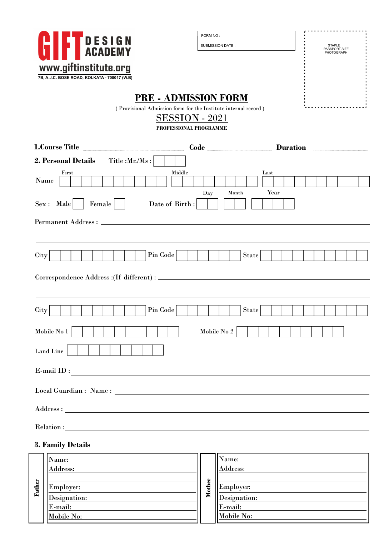|        | <b>DESIGN<br/>ACADEMY</b>                                                                                                                                                                                                                                                                                                                      |                                                 | FORM NO:<br>SUBMISSION DATE:           | STAPLE<br>PASSPORT SIZE<br>PHOTOGRAPH |
|--------|------------------------------------------------------------------------------------------------------------------------------------------------------------------------------------------------------------------------------------------------------------------------------------------------------------------------------------------------|-------------------------------------------------|----------------------------------------|---------------------------------------|
|        | www.giftinstitute.org<br>7B, A.J.C. BOSE ROAD, KOLKATA - 700017 (W.B)                                                                                                                                                                                                                                                                          |                                                 |                                        |                                       |
|        | <b>PRE - ADMISSION FORM</b><br>(Provisional Admission form for the Institute internal record)                                                                                                                                                                                                                                                  | <b>SESSION - 2021</b><br>PROFESSIONAL PROGRAMME |                                        |                                       |
|        | 1.Course Title <b>Example 2.1</b> Code <b>Code Container Constant Constant Constant Constant Constant Constant Constant Constant Constant Constant Constant Constant Constant Constant Constant Constant Constant Constant Constant</b><br>2. Personal Details<br>Title : $Mr.Ms:$<br>First<br>Name<br>$Sex:$ Male<br>Date of Birth:<br>Female | Middle<br>Day                                   | Last<br>Year<br>$\operatorname{Month}$ |                                       |
|        |                                                                                                                                                                                                                                                                                                                                                |                                                 |                                        |                                       |
| City   | Pin Code                                                                                                                                                                                                                                                                                                                                       |                                                 | State                                  |                                       |
| City   | $\mathop{\mathrm{Pin}}\nolimits\mathop{\mathrm{Code}}\nolimits$                                                                                                                                                                                                                                                                                |                                                 | State                                  |                                       |
|        | Mobile No $1\,$                                                                                                                                                                                                                                                                                                                                |                                                 | Mobile No 2                            |                                       |
|        |                                                                                                                                                                                                                                                                                                                                                |                                                 |                                        |                                       |
|        | Land Line                                                                                                                                                                                                                                                                                                                                      |                                                 |                                        |                                       |
|        | $E$ -mail $ID:$                                                                                                                                                                                                                                                                                                                                |                                                 |                                        |                                       |
|        |                                                                                                                                                                                                                                                                                                                                                |                                                 |                                        |                                       |
|        |                                                                                                                                                                                                                                                                                                                                                |                                                 |                                        |                                       |
|        |                                                                                                                                                                                                                                                                                                                                                |                                                 |                                        |                                       |
| Father | 3. Family Details<br>Name:<br>Address:                                                                                                                                                                                                                                                                                                         | Mother                                          | Name:<br>Address:                      |                                       |

| ö    | Name:<br>Address: |        | Name:<br>Address: |
|------|-------------------|--------|-------------------|
| Fath | Employer:         | Mother | <b>Employer:</b>  |
|      | Designation:      |        | Designation:      |
|      | E-mail:           |        | $E-mail:$         |
|      | Mobile No:        |        | Mobile No:        |